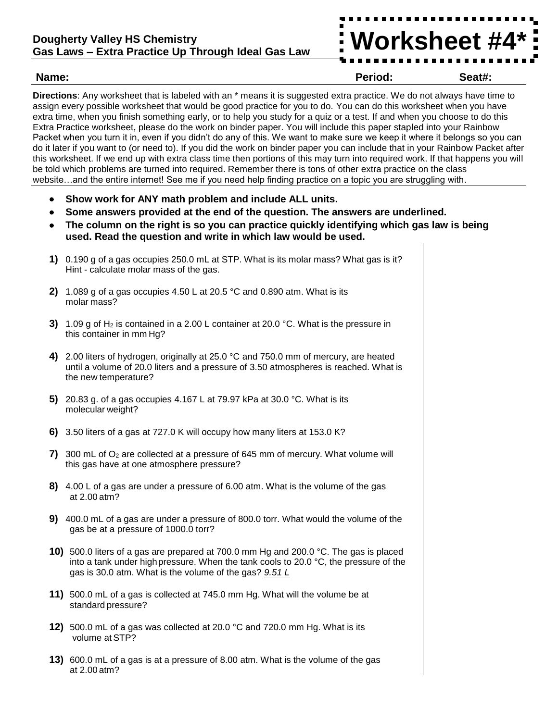

**Name: Period: Seat#:**

**Directions**: Any worksheet that is labeled with an \* means it is suggested extra practice. We do not always have time to assign every possible worksheet that would be good practice for you to do. You can do this worksheet when you have extra time, when you finish something early, or to help you study for a quiz or a test. If and when you choose to do this Extra Practice worksheet, please do the work on binder paper. You will include this paper stapled into your Rainbow Packet when you turn it in, even if you didn't do any of this. We want to make sure we keep it where it belongs so you can do it later if you want to (or need to). If you did the work on binder paper you can include that in your Rainbow Packet after this worksheet. If we end up with extra class time then portions of this may turn into required work. If that happens you will be told which problems are turned into required. Remember there is tons of other extra practice on the class website…and the entire internet! See me if you need help finding practice on a topic you are struggling with.

- **Show work for ANY math problem and include ALL units.**
- **Some answers provided at the end of the question. The answers are underlined.**
- **The column on the right is so you can practice quickly identifying which gas law is being used. Read the question and write in which law would be used.**
- **1)** 0.190 g of a gas occupies 250.0 mL at STP. What is its molar mass? What gas is it? Hint - calculate molar mass of the gas.
- **2)** 1.089 g of a gas occupies 4.50 L at 20.5 °C and 0.890 atm. What is its molar mass?
- **3)** 1.09 g of H<sub>2</sub> is contained in a 2.00 L container at 20.0 °C. What is the pressure in this container in mm Hg?
- **4)** 2.00 liters of hydrogen, originally at 25.0 °C and 750.0 mm of mercury, are heated until a volume of 20.0 liters and a pressure of 3.50 atmospheres is reached. What is the new temperature?
- **5)** 20.83 g. of a gas occupies 4.167 L at 79.97 kPa at 30.0 °C. What is its molecular weight?
- **6)** 3.50 liters of a gas at 727.0 K will occupy how many liters at 153.0 K?
- **7)** 300 mL of  $O_2$  are collected at a pressure of 645 mm of mercury. What volume will this gas have at one atmosphere pressure?
- **8)** 4.00 L of a gas are under a pressure of 6.00 atm. What is the volume of the gas at 2.00 atm?
- **9)** 400.0 mL of a gas are under a pressure of 800.0 torr. What would the volume of the gas be at a pressure of 1000.0 torr?
- **10)** 500.0 liters of a gas are prepared at 700.0 mm Hg and 200.0 °C. The gas is placed into a tank under high pressure. When the tank cools to 20.0  $\degree$ C, the pressure of the gas is 30.0 atm. What is the volume of the gas? *9.51 L*
- **11)** 500.0 mL of a gas is collected at 745.0 mm Hg. What will the volume be at standard pressure?
- **12)** 500.0 mL of a gas was collected at 20.0 °C and 720.0 mm Hg. What is its volume at STP?
- **13)** 600.0 mL of a gas is at a pressure of 8.00 atm. What is the volume of the gas at 2.00 atm?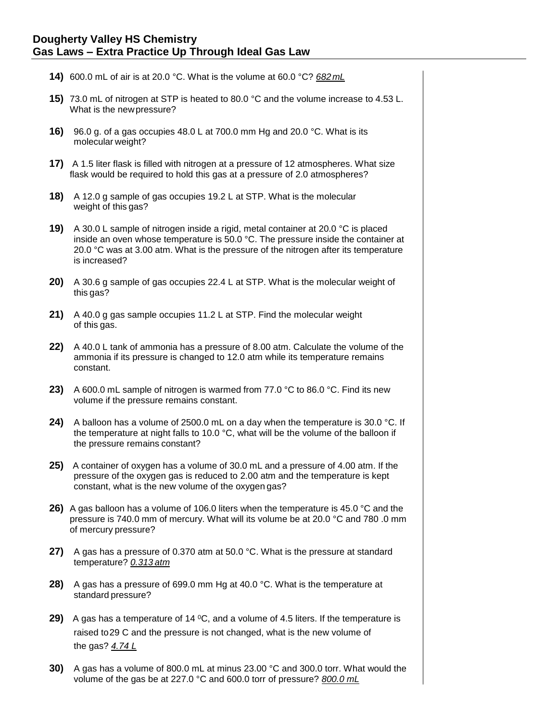## **Dougherty Valley HS Chemistry Gas Laws – Extra Practice Up Through Ideal Gas Law**

- **14)** 600.0 mL of air is at 20.0 °C. What is the volume at 60.0 °C? *682mL*
- **15)** 73.0 mL of nitrogen at STP is heated to 80.0 °C and the volume increase to 4.53 L. What is the newpressure?
- **16)** 96.0 g. of a gas occupies 48.0 L at 700.0 mm Hg and 20.0 °C. What is its molecular weight?
- **17)** A 1.5 liter flask is filled with nitrogen at a pressure of 12 atmospheres. What size flask would be required to hold this gas at a pressure of 2.0 atmospheres?
- **18)** A 12.0 g sample of gas occupies 19.2 L at STP. What is the molecular weight of this gas?
- **19)** A 30.0 L sample of nitrogen inside a rigid, metal container at 20.0 °C is placed inside an oven whose temperature is 50.0 °C. The pressure inside the container at 20.0 °C was at 3.00 atm. What is the pressure of the nitrogen after its temperature is increased?
- **20)** A 30.6 g sample of gas occupies 22.4 L at STP. What is the molecular weight of this gas?
- **21)** A 40.0 g gas sample occupies 11.2 L at STP. Find the molecular weight of this gas.
- **22)** A 40.0 L tank of ammonia has a pressure of 8.00 atm. Calculate the volume of the ammonia if its pressure is changed to 12.0 atm while its temperature remains constant.
- **23)** A 600.0 mL sample of nitrogen is warmed from 77.0 °C to 86.0 °C. Find its new volume if the pressure remains constant.
- **24)** A balloon has a volume of 2500.0 mL on a day when the temperature is 30.0 °C. If the temperature at night falls to 10.0 °C, what will be the volume of the balloon if the pressure remains constant?
- **25)** A container of oxygen has a volume of 30.0 mL and a pressure of 4.00 atm. If the pressure of the oxygen gas is reduced to 2.00 atm and the temperature is kept constant, what is the new volume of the oxygen gas?
- **26)** A gas balloon has a volume of 106.0 liters when the temperature is 45.0 °C and the pressure is 740.0 mm of mercury. What will its volume be at 20.0 °C and 780 .0 mm of mercury pressure?
- **27)** A gas has a pressure of 0.370 atm at 50.0 °C. What is the pressure at standard temperature? *0.313 atm*
- **28)** A gas has a pressure of 699.0 mm Hg at 40.0 °C. What is the temperature at standard pressure?
- **29)** A gas has a temperature of 14 °C, and a volume of 4.5 liters. If the temperature is raised to29 C and the pressure is not changed, what is the new volume of the gas? *4.74 L*
- **30)** A gas has a volume of 800.0 mL at minus 23.00 °C and 300.0 torr. What would the volume of the gas be at 227.0 °C and 600.0 torr of pressure? *800.0 mL*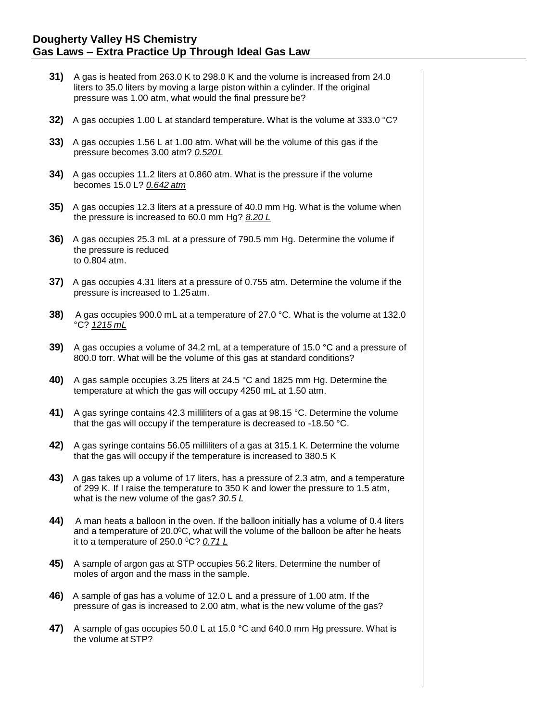- **31)** A gas is heated from 263.0 K to 298.0 K and the volume is increased from 24.0 liters to 35.0 liters by moving a large piston within a cylinder. If the original pressure was 1.00 atm, what would the final pressure be?
- **32)** A gas occupies 1.00 L at standard temperature. What is the volume at 333.0 °C?
- **33)** A gas occupies 1.56 L at 1.00 atm. What will be the volume of this gas if the pressure becomes 3.00 atm? *0.520L*
- **34)** A gas occupies 11.2 liters at 0.860 atm. What is the pressure if the volume becomes 15.0 L? *0.642 atm*
- **35)** A gas occupies 12.3 liters at a pressure of 40.0 mm Hg. What is the volume when the pressure is increased to 60.0 mm Hg? *8.20 L*
- **36)** A gas occupies 25.3 mL at a pressure of 790.5 mm Hg. Determine the volume if the pressure is reduced to 0.804 atm.
- **37)** A gas occupies 4.31 liters at a pressure of 0.755 atm. Determine the volume if the pressure is increased to 1.25atm.
- **38)** A gas occupies 900.0 mL at a temperature of 27.0 °C. What is the volume at 132.0 °C? *1215 mL*
- **39)** A gas occupies a volume of 34.2 mL at a temperature of 15.0 °C and a pressure of 800.0 torr. What will be the volume of this gas at standard conditions?
- **40)** A gas sample occupies 3.25 liters at 24.5 °C and 1825 mm Hg. Determine the temperature at which the gas will occupy 4250 mL at 1.50 atm.
- **41)** A gas syringe contains 42.3 milliliters of a gas at 98.15 °C. Determine the volume that the gas will occupy if the temperature is decreased to -18.50 °C.
- **42)** A gas syringe contains 56.05 milliliters of a gas at 315.1 K. Determine the volume that the gas will occupy if the temperature is increased to 380.5 K
- **43)** A gas takes up a volume of 17 liters, has a pressure of 2.3 atm, and a temperature of 299 K. If I raise the temperature to 350 K and lower the pressure to 1.5 atm, what is the new volume of the gas? *30.5 L*
- **44)** A man heats a balloon in the oven. If the balloon initially has a volume of 0.4 liters and a temperature of  $20.0\degree$ C, what will the volume of the balloon be after he heats it to a temperature of 250.0 <sup>0</sup>C? *0.71 L*
- **45)** A sample of argon gas at STP occupies 56.2 liters. Determine the number of moles of argon and the mass in the sample.
- **46)** A sample of gas has a volume of 12.0 L and a pressure of 1.00 atm. If the pressure of gas is increased to 2.00 atm, what is the new volume of the gas?
- **47)** A sample of gas occupies 50.0 L at 15.0 °C and 640.0 mm Hg pressure. What is the volume at STP?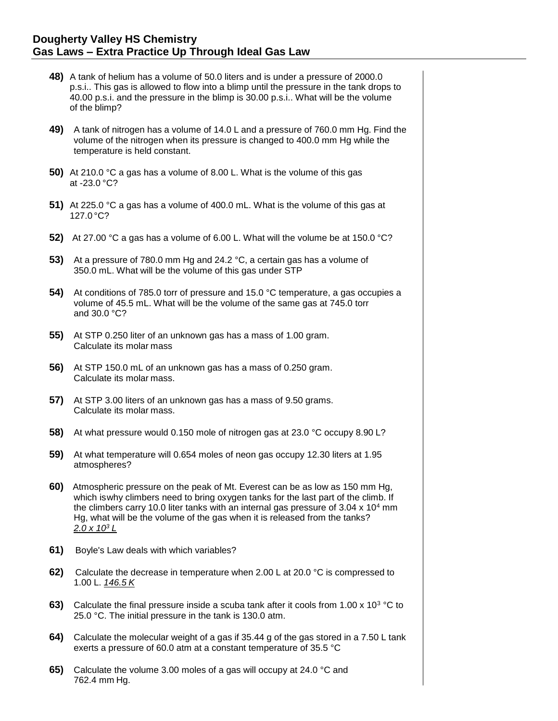- **48)** A tank of helium has a volume of 50.0 liters and is under a pressure of 2000.0 p.s.i.. This gas is allowed to flow into a blimp until the pressure in the tank drops to 40.00 p.s.i. and the pressure in the blimp is 30.00 p.s.i.. What will be the volume of the blimp?
- **49)** A tank of nitrogen has a volume of 14.0 L and a pressure of 760.0 mm Hg. Find the volume of the nitrogen when its pressure is changed to 400.0 mm Hg while the temperature is held constant.
- **50)** At 210.0 °C a gas has a volume of 8.00 L. What is the volume of this gas at -23.0 °C?
- **51)** At 225.0 °C a gas has a volume of 400.0 mL. What is the volume of this gas at 127.0 °C?
- **52)** At 27.00 °C a gas has a volume of 6.00 L. What will the volume be at 150.0 °C?
- **53)** At a pressure of 780.0 mm Hg and 24.2 °C, a certain gas has a volume of 350.0 mL. What will be the volume of this gas under STP
- **54)** At conditions of 785.0 torr of pressure and 15.0 °C temperature, a gas occupies a volume of 45.5 mL. What will be the volume of the same gas at 745.0 torr and 30.0 °C?
- **55)** At STP 0.250 liter of an unknown gas has a mass of 1.00 gram. Calculate its molar mass
- **56)** At STP 150.0 mL of an unknown gas has a mass of 0.250 gram. Calculate its molar mass.
- **57)** At STP 3.00 liters of an unknown gas has a mass of 9.50 grams. Calculate its molar mass.
- **58)** At what pressure would 0.150 mole of nitrogen gas at 23.0 °C occupy 8.90 L?
- **59)** At what temperature will 0.654 moles of neon gas occupy 12.30 liters at 1.95 atmospheres?
- **60)** Atmospheric pressure on the peak of Mt. Everest can be as low as 150 mm Hg, which is why climbers need to bring oxygen tanks for the last part of the climb. If the climbers carry 10.0 liter tanks with an internal gas pressure of  $3.04 \times 10^4$  mm Hg, what will be the volume of the gas when it is released from the tanks? *2.0 x 10<sup>3</sup> L*
- **61)** Boyle's Law deals with which variables?
- **62)** Calculate the decrease in temperature when 2.00 L at 20.0 °C is compressed to 1.00 L. *146.5 K*
- 63) Calculate the final pressure inside a scuba tank after it cools from 1.00 x 10<sup>3</sup> °C to 25.0 °C. The initial pressure in the tank is 130.0 atm.
- **64)** Calculate the molecular weight of a gas if 35.44 g of the gas stored in a 7.50 L tank exerts a pressure of 60.0 atm at a constant temperature of 35.5 °C
- **65)** Calculate the volume 3.00 moles of a gas will occupy at 24.0 °C and 762.4 mm Hg.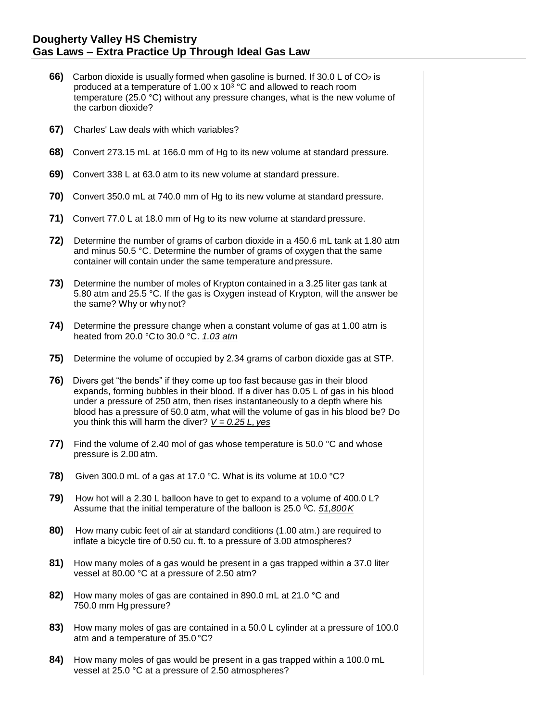- **66)** Carbon dioxide is usually formed when gasoline is burned. If 30.0 L of CO<sub>2</sub> is produced at a temperature of 1.00 x 10<sup>3</sup>  $°C$  and allowed to reach room temperature (25.0 °C) without any pressure changes, what is the new volume of the carbon dioxide?
- **67)** Charles' Law deals with which variables?
- **68)** Convert 273.15 mL at 166.0 mm of Hg to its new volume at standard pressure.
- **69)** Convert 338 L at 63.0 atm to its new volume at standard pressure.
- **70)** Convert 350.0 mL at 740.0 mm of Hg to its new volume at standard pressure.
- **71)** Convert 77.0 L at 18.0 mm of Hg to its new volume at standard pressure.
- **72)** Determine the number of grams of carbon dioxide in a 450.6 mL tank at 1.80 atm and minus 50.5 °C. Determine the number of grams of oxygen that the same container will contain under the same temperature and pressure.
- **73)** Determine the number of moles of Krypton contained in a 3.25 liter gas tank at 5.80 atm and 25.5 °C. If the gas is Oxygen instead of Krypton, will the answer be the same? Why or why not?
- **74)** Determine the pressure change when a constant volume of gas at 1.00 atm is heated from 20.0 °Cto 30.0 °C. *1.03 atm*
- **75)** Determine the volume of occupied by 2.34 grams of carbon dioxide gas at STP.
- **76)** Divers get "the bends" if they come up too fast because gas in their blood expands, forming bubbles in their blood. If a diver has 0.05 L of gas in his blood under a pressure of 250 atm, then rises instantaneously to a depth where his blood has a pressure of 50.0 atm, what will the volume of gas in his blood be? Do you think this will harm the diver? *V = 0.25 L, yes*
- **77)** Find the volume of 2.40 mol of gas whose temperature is 50.0 °C and whose pressure is 2.00 atm.
- **78)** Given 300.0 mL of a gas at 17.0 °C. What is its volume at 10.0 °C?
- **79)** How hot will a 2.30 L balloon have to get to expand to a volume of 400.0 L? Assume that the initial temperature of the balloon is 25.0 <sup>0</sup>C. *51,800K*
- **80)** How many cubic feet of air at standard conditions (1.00 atm.) are required to inflate a bicycle tire of 0.50 cu. ft. to a pressure of 3.00 atmospheres?
- **81)** How many moles of a gas would be present in a gas trapped within a 37.0 liter vessel at 80.00 °C at a pressure of 2.50 atm?
- **82)** How many moles of gas are contained in 890.0 mL at 21.0 °C and 750.0 mm Hg pressure?
- **83)** How many moles of gas are contained in a 50.0 L cylinder at a pressure of 100.0 atm and a temperature of 35.0 °C?
- **84)** How many moles of gas would be present in a gas trapped within a 100.0 mL vessel at 25.0 °C at a pressure of 2.50 atmospheres?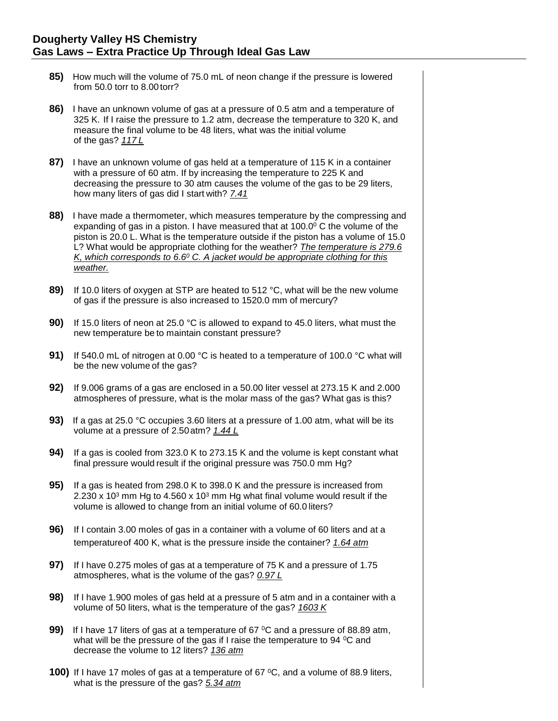- **85)** How much will the volume of 75.0 mL of neon change if the pressure is lowered from 50.0 torr to 8.00 torr?
- **86)** I have an unknown volume of gas at a pressure of 0.5 atm and a temperature of 325 K. If I raise the pressure to 1.2 atm, decrease the temperature to 320 K, and measure the final volume to be 48 liters, what was the initial volume of the gas? *117 L*
- **87)** I have an unknown volume of gas held at a temperature of 115 K in a container with a pressure of 60 atm. If by increasing the temperature to 225 K and decreasing the pressure to 30 atm causes the volume of the gas to be 29 liters, how many liters of gas did I start with? *7.41*
- **88)** I have made a thermometer, which measures temperature by the compressing and expanding of gas in a piston. I have measured that at  $100.0^{\circ}$  C the volume of the piston is 20.0 L. What is the temperature outside if the piston has a volume of 15.0 L? What would be appropriate clothing for the weather? *The temperature is 279.6 K, which corresponds to 6.6<sup>0</sup> C. A jacket would be appropriate clothing for this weather.*
- **89)** If 10.0 liters of oxygen at STP are heated to 512 °C, what will be the new volume of gas if the pressure is also increased to 1520.0 mm of mercury?
- **90)** If 15.0 liters of neon at 25.0 °C is allowed to expand to 45.0 liters, what must the new temperature be to maintain constant pressure?
- **91)** If 540.0 mL of nitrogen at 0.00 °C is heated to a temperature of 100.0 °C what will be the new volume of the gas?
- **92)** If 9.006 grams of a gas are enclosed in a 50.00 liter vessel at 273.15 K and 2.000 atmospheres of pressure, what is the molar mass of the gas? What gas is this?
- **93)** If a gas at 25.0 °C occupies 3.60 liters at a pressure of 1.00 atm, what will be its volume at a pressure of 2.50atm? *1.44 L*
- **94)** If a gas is cooled from 323.0 K to 273.15 K and the volume is kept constant what final pressure would result if the original pressure was 750.0 mm Hg?
- **95)** If a gas is heated from 298.0 K to 398.0 K and the pressure is increased from 2.230 x 10<sup>3</sup> mm Hg to 4.560 x 10<sup>3</sup> mm Hg what final volume would result if the volume is allowed to change from an initial volume of 60.0 liters?
- **96)** If I contain 3.00 moles of gas in a container with a volume of 60 liters and at a temperatureof 400 K, what is the pressure inside the container? *1.64 atm*
- **97)** If I have 0.275 moles of gas at a temperature of 75 K and a pressure of 1.75 atmospheres, what is the volume of the gas? *0.97 L*
- **98)** If I have 1.900 moles of gas held at a pressure of 5 atm and in a container with a volume of 50 liters, what is the temperature of the gas? *1603 K*
- **99)** If I have 17 liters of gas at a temperature of 67 <sup>o</sup>C and a pressure of 88.89 atm, what will be the pressure of the gas if I raise the temperature to 94 °C and decrease the volume to 12 liters? *136 atm*
- **100)** If I have 17 moles of gas at a temperature of 67 °C, and a volume of 88.9 liters, what is the pressure of the gas? *5.34 atm*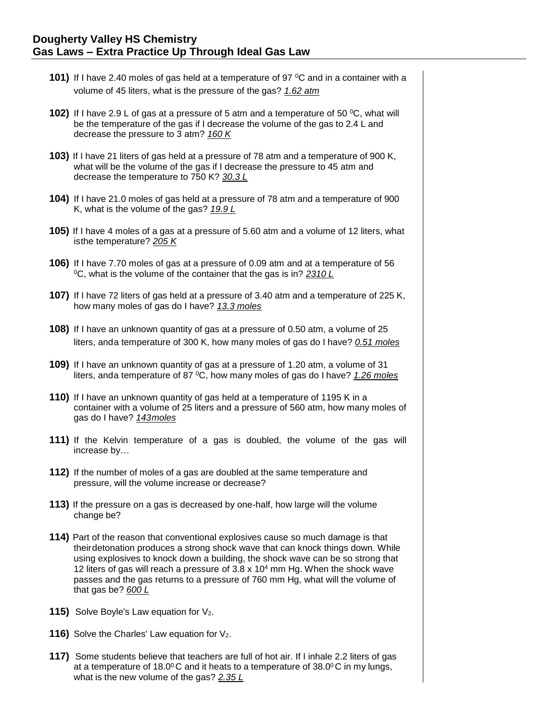- **101)** If I have 2.40 moles of gas held at a temperature of 97 °C and in a container with a volume of 45 liters, what is the pressure of the gas? *1.62 atm*
- **102)** If I have 2.9 L of gas at a pressure of 5 atm and a temperature of 50 °C, what will be the temperature of the gas if I decrease the volume of the gas to 2.4 L and decrease the pressure to 3 atm? *160 K*
- **103)** If I have 21 liters of gas held at a pressure of 78 atm and a temperature of 900 K, what will be the volume of the gas if I decrease the pressure to 45 atm and decrease the temperature to 750 K? *30.3 L*
- **104)** If I have 21.0 moles of gas held at a pressure of 78 atm and a temperature of 900 K, what is the volume of the gas? *19.9 L*
- **105)** If I have 4 moles of a gas at a pressure of 5.60 atm and a volume of 12 liters, what isthe temperature? *205 K*
- **106)** If I have 7.70 moles of gas at a pressure of 0.09 atm and at a temperature of 56 <sup>0</sup>C, what is the volume of the container that the gas is in? *2310 L*
- **107)** If I have 72 liters of gas held at a pressure of 3.40 atm and a temperature of 225 K, how many moles of gas do I have? *13.3 moles*
- **108)** If I have an unknown quantity of gas at a pressure of 0.50 atm, a volume of 25 liters, anda temperature of 300 K, how many moles of gas do I have? *0.51 moles*
- **109)** If I have an unknown quantity of gas at a pressure of 1.20 atm, a volume of 31 liters, anda temperature of 87 <sup>0</sup>C, how many moles of gas do I have? *1.26 moles*
- **110)** If I have an unknown quantity of gas held at a temperature of 1195 K in a container with a volume of 25 liters and a pressure of 560 atm, how many moles of gas do I have? *143moles*
- **111)** If the Kelvin temperature of a gas is doubled, the volume of the gas will increase by…
- **112)** If the number of moles of a gas are doubled at the same temperature and pressure, will the volume increase or decrease?
- **113)** If the pressure on a gas is decreased by one-half, how large will the volume change be?
- **114)** Part of the reason that conventional explosives cause so much damage is that theirdetonation produces a strong shock wave that can knock things down. While using explosives to knock down a building, the shock wave can be so strong that 12 liters of gas will reach a pressure of  $3.8 \times 10^4$  mm Hg. When the shock wave passes and the gas returns to a pressure of 760 mm Hg, what will the volume of that gas be? *600 L*
- **115)** Solve Boyle's Law equation for V<sub>2</sub>.
- **116)** Solve the Charles' Law equation for V<sub>2</sub>.
- **117)** Some students believe that teachers are full of hot air. If I inhale 2.2 liters of gas at a temperature of 18.0 $\degree$ C and it heats to a temperature of 38.0 $\degree$ C in my lungs, what is the new volume of the gas? *2.35 L*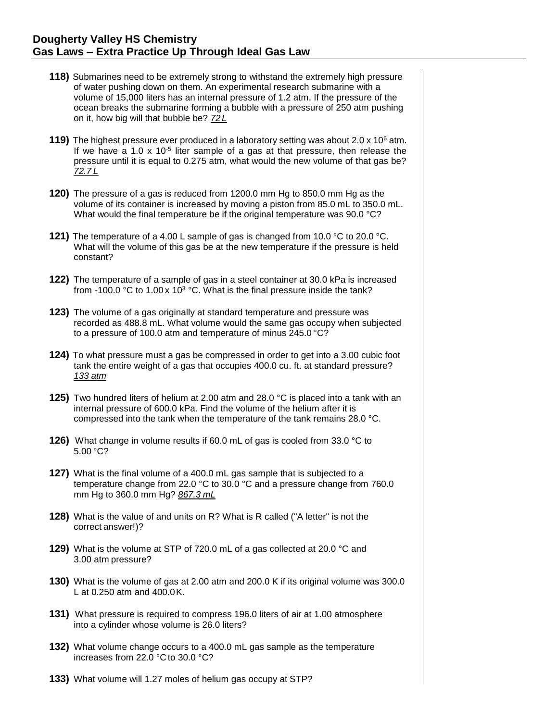- **118)** Submarines need to be extremely strong to withstand the extremely high pressure of water pushing down on them. An experimental research submarine with a volume of 15,000 liters has an internal pressure of 1.2 atm. If the pressure of the ocean breaks the submarine forming a bubble with a pressure of 250 atm pushing on it, how big will that bubble be? *72 L*
- **119)** The highest pressure ever produced in a laboratory setting was about 2.0 x 10<sup>6</sup> atm. If we have a 1.0 x 10<sup>-5</sup> liter sample of a gas at that pressure, then release the pressure until it is equal to 0.275 atm, what would the new volume of that gas be? *72.7 L*
- **120)** The pressure of a gas is reduced from 1200.0 mm Hg to 850.0 mm Hg as the volume of its container is increased by moving a piston from 85.0 mL to 350.0 mL. What would the final temperature be if the original temperature was 90.0 °C?
- **121)** The temperature of a 4.00 L sample of gas is changed from 10.0 °C to 20.0 °C. What will the volume of this gas be at the new temperature if the pressure is held constant?
- **122)** The temperature of a sample of gas in a steel container at 30.0 kPa is increased from -100.0 °C to 1.00 x 10<sup>3</sup> °C. What is the final pressure inside the tank?
- **123)** The volume of a gas originally at standard temperature and pressure was recorded as 488.8 mL. What volume would the same gas occupy when subjected to a pressure of 100.0 atm and temperature of minus 245.0 °C?
- **124)** To what pressure must a gas be compressed in order to get into a 3.00 cubic foot tank the entire weight of a gas that occupies 400.0 cu. ft. at standard pressure? *133 atm*
- **125)** Two hundred liters of helium at 2.00 atm and 28.0 °C is placed into a tank with an internal pressure of 600.0 kPa. Find the volume of the helium after it is compressed into the tank when the temperature of the tank remains 28.0 °C.
- **126)** What change in volume results if 60.0 mL of gas is cooled from 33.0 °C to 5.00 °C?
- **127)** What is the final volume of a 400.0 mL gas sample that is subjected to a temperature change from 22.0 °C to 30.0 °C and a pressure change from 760.0 mm Hg to 360.0 mm Hg? *867.3 mL*
- **128)** What is the value of and units on R? What is R called ("A letter" is not the correct answer!)?
- **129)** What is the volume at STP of 720.0 mL of a gas collected at 20.0 °C and 3.00 atm pressure?
- **130)** What is the volume of gas at 2.00 atm and 200.0 K if its original volume was 300.0 L at 0.250 atm and 400.0K.
- **131)** What pressure is required to compress 196.0 liters of air at 1.00 atmosphere into a cylinder whose volume is 26.0 liters?
- **132)** What volume change occurs to a 400.0 mL gas sample as the temperature increases from 22.0 °C to 30.0 °C?
- **133)** What volume will 1.27 moles of helium gas occupy at STP?